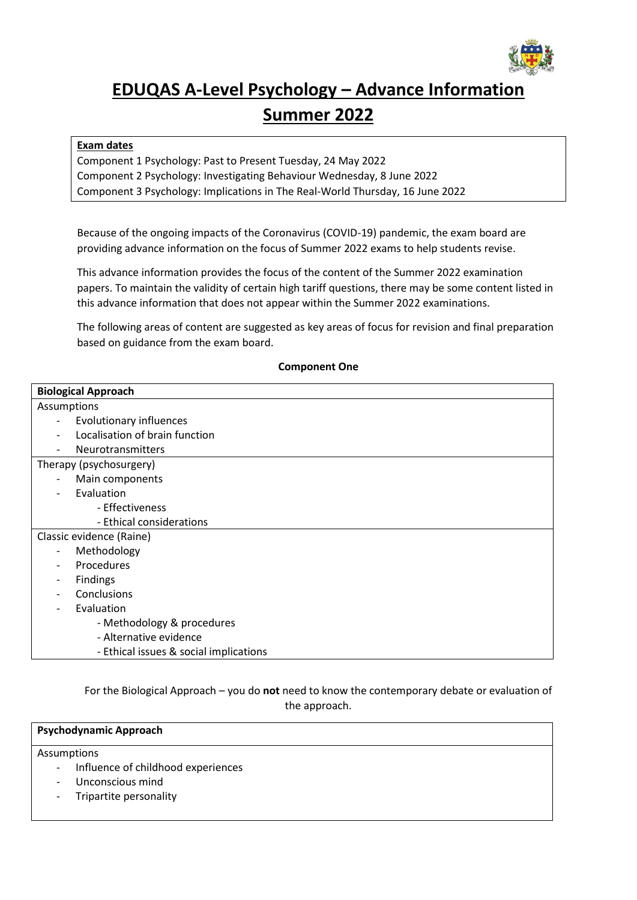

# **EDUQAS A-Level Psychology – Advance Information Summer 2022**

## **Exam dates**

Component 1 Psychology: Past to Present Tuesday, 24 May 2022 Component 2 Psychology: Investigating Behaviour Wednesday, 8 June 2022 Component 3 Psychology: Implications in The Real-World Thursday, 16 June 2022

Because of the ongoing impacts of the Coronavirus (COVID-19) pandemic, the exam board are providing advance information on the focus of Summer 2022 exams to help students revise.

This advance information provides the focus of the content of the Summer 2022 examination papers. To maintain the validity of certain high tariff questions, there may be some content listed in this advance information that does not appear within the Summer 2022 examinations.

The following areas of content are suggested as key areas of focus for revision and final preparation based on guidance from the exam board.

| <b>Biological Approach</b>              |  |  |  |  |
|-----------------------------------------|--|--|--|--|
| Assumptions                             |  |  |  |  |
| Evolutionary influences                 |  |  |  |  |
| Localisation of brain function          |  |  |  |  |
| <b>Neurotransmitters</b>                |  |  |  |  |
| Therapy (psychosurgery)                 |  |  |  |  |
| Main components                         |  |  |  |  |
| Evaluation                              |  |  |  |  |
| - Effectiveness                         |  |  |  |  |
| - Ethical considerations                |  |  |  |  |
| Classic evidence (Raine)                |  |  |  |  |
| Methodology<br>$\overline{\phantom{a}}$ |  |  |  |  |
| Procedures                              |  |  |  |  |
| Findings                                |  |  |  |  |
| Conclusions                             |  |  |  |  |
| Evaluation                              |  |  |  |  |
| - Methodology & procedures              |  |  |  |  |
| - Alternative evidence                  |  |  |  |  |
| - Ethical issues & social implications  |  |  |  |  |

**Component One**

For the Biological Approach – you do **not** need to know the contemporary debate or evaluation of the approach.

## **Psychodynamic Approach**

Assumptions

- Influence of childhood experiences
- Unconscious mind
- Tripartite personality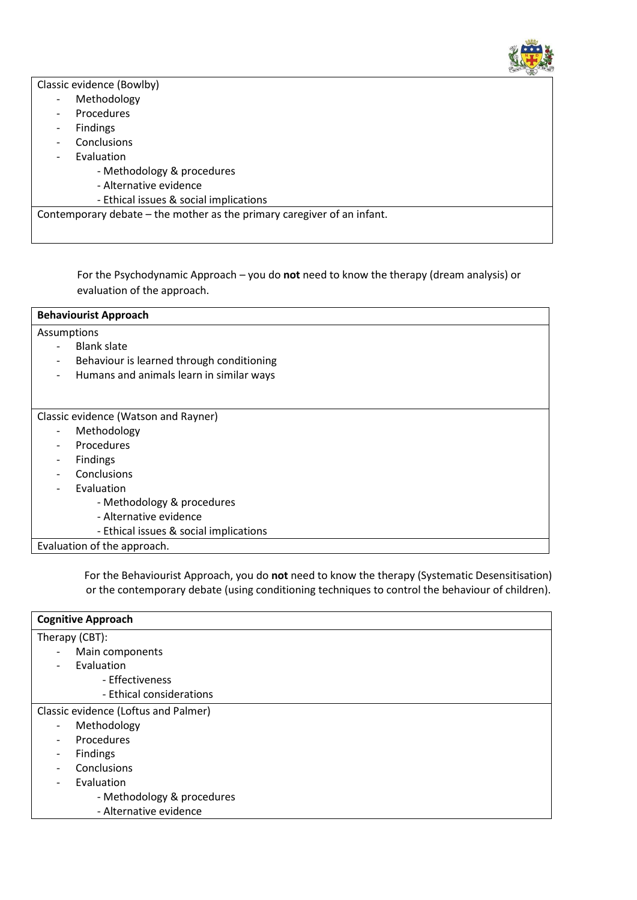

Classic evidence (Bowlby)

- Methodology
- Procedures
- Findings
- Conclusions
- **Evaluation** 
	- Methodology & procedures
	- Alternative evidence
	- Ethical issues & social implications

Contemporary debate – the mother as the primary caregiver of an infant.

For the Psychodynamic Approach – you do **not** need to know the therapy (dream analysis) or evaluation of the approach.

| <b>Behaviourist Approach</b>                                  |  |  |  |
|---------------------------------------------------------------|--|--|--|
| Assumptions<br><b>Blank slate</b><br>$\overline{\phantom{0}}$ |  |  |  |
| Behaviour is learned through conditioning<br>-                |  |  |  |
| Humans and animals learn in similar ways<br>-                 |  |  |  |
|                                                               |  |  |  |
| Classic evidence (Watson and Rayner)                          |  |  |  |
| Methodology                                                   |  |  |  |
| <b>Procedures</b>                                             |  |  |  |
| <b>Findings</b>                                               |  |  |  |
| Conclusions                                                   |  |  |  |
| Evaluation                                                    |  |  |  |
| - Methodology & procedures                                    |  |  |  |
| - Alternative evidence                                        |  |  |  |
| - Ethical issues & social implications                        |  |  |  |
| Evaluation of the approach.                                   |  |  |  |

For the Behaviourist Approach, you do **not** need to know the therapy (Systematic Desensitisation) or the contemporary debate (using conditioning techniques to control the behaviour of children).

| <b>Cognitive Approach</b>            |  |  |
|--------------------------------------|--|--|
| Therapy (CBT):                       |  |  |
| Main components                      |  |  |
| Evaluation                           |  |  |
| - Effectiveness                      |  |  |
| - Ethical considerations             |  |  |
| Classic evidence (Loftus and Palmer) |  |  |
| Methodology                          |  |  |
| Procedures                           |  |  |
| <b>Findings</b>                      |  |  |
| Conclusions                          |  |  |
| Evaluation                           |  |  |
| - Methodology & procedures           |  |  |
| - Alternative evidence               |  |  |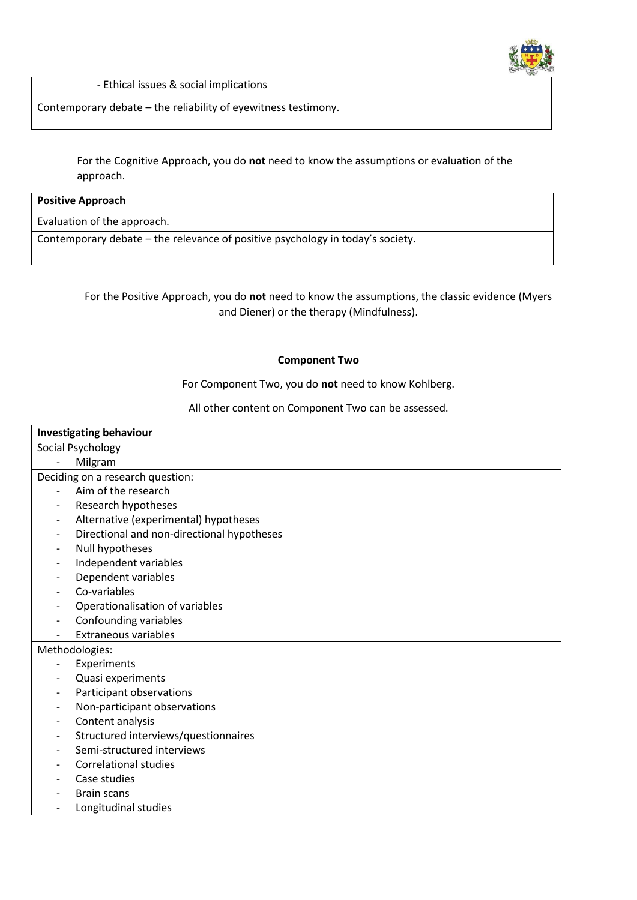

- Ethical issues & social implications

Contemporary debate – the reliability of eyewitness testimony.

For the Cognitive Approach, you do **not** need to know the assumptions or evaluation of the approach.

#### **Positive Approach**

Evaluation of the approach.

Contemporary debate – the relevance of positive psychology in today's society.

For the Positive Approach, you do **not** need to know the assumptions, the classic evidence (Myers and Diener) or the therapy (Mindfulness).

#### **Component Two**

For Component Two, you do **not** need to know Kohlberg.

All other content on Component Two can be assessed.

| <b>Investigating behaviour</b> |                                            |  |  |  |  |  |
|--------------------------------|--------------------------------------------|--|--|--|--|--|
|                                | Social Psychology                          |  |  |  |  |  |
|                                | Milgram                                    |  |  |  |  |  |
|                                | Deciding on a research question:           |  |  |  |  |  |
|                                | Aim of the research                        |  |  |  |  |  |
| $\overline{\phantom{a}}$       | Research hypotheses                        |  |  |  |  |  |
| $\overline{\phantom{a}}$       | Alternative (experimental) hypotheses      |  |  |  |  |  |
| $\overline{a}$                 | Directional and non-directional hypotheses |  |  |  |  |  |
| $\overline{\phantom{a}}$       | Null hypotheses                            |  |  |  |  |  |
| -                              | Independent variables                      |  |  |  |  |  |
| -                              | Dependent variables                        |  |  |  |  |  |
|                                | Co-variables                               |  |  |  |  |  |
|                                | Operationalisation of variables            |  |  |  |  |  |
| $\overline{a}$                 | Confounding variables                      |  |  |  |  |  |
|                                | <b>Extraneous variables</b>                |  |  |  |  |  |
|                                | Methodologies:                             |  |  |  |  |  |
| $\overline{a}$                 | Experiments                                |  |  |  |  |  |
|                                | Quasi experiments                          |  |  |  |  |  |
|                                | Participant observations                   |  |  |  |  |  |
| $\overline{a}$                 | Non-participant observations               |  |  |  |  |  |
| $\overline{\phantom{0}}$       | Content analysis                           |  |  |  |  |  |
|                                | Structured interviews/questionnaires       |  |  |  |  |  |
| $\overline{a}$                 | Semi-structured interviews                 |  |  |  |  |  |
|                                | <b>Correlational studies</b>               |  |  |  |  |  |
|                                | Case studies                               |  |  |  |  |  |
|                                | <b>Brain scans</b>                         |  |  |  |  |  |
|                                | Longitudinal studies                       |  |  |  |  |  |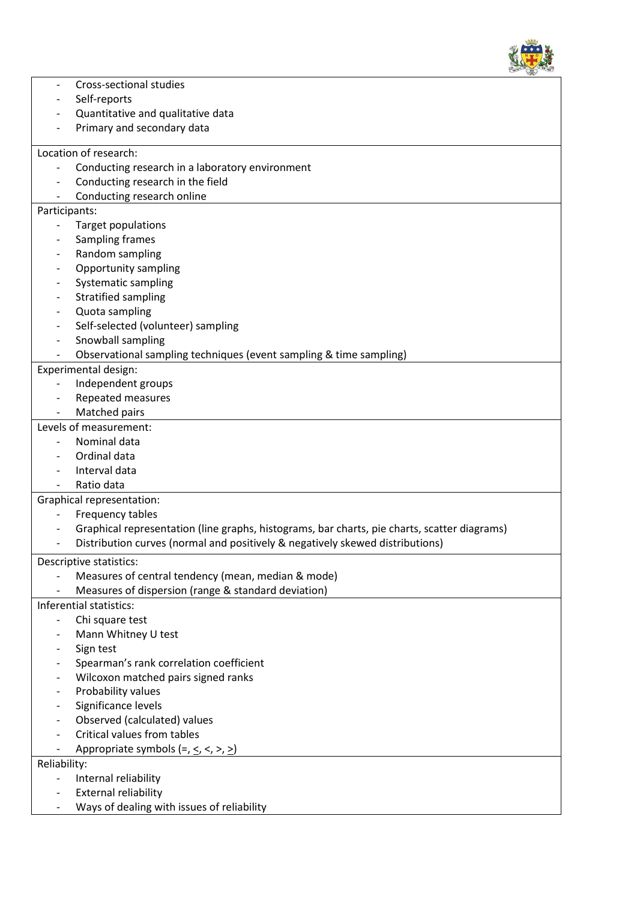

| Cross-sectional studies      |                                                                                              |  |  |  |  |
|------------------------------|----------------------------------------------------------------------------------------------|--|--|--|--|
|                              | Self-reports                                                                                 |  |  |  |  |
|                              | Quantitative and qualitative data                                                            |  |  |  |  |
|                              | Primary and secondary data                                                                   |  |  |  |  |
|                              | Location of research:                                                                        |  |  |  |  |
|                              | Conducting research in a laboratory environment                                              |  |  |  |  |
|                              | Conducting research in the field                                                             |  |  |  |  |
|                              | Conducting research online                                                                   |  |  |  |  |
|                              | Participants:                                                                                |  |  |  |  |
|                              | Target populations                                                                           |  |  |  |  |
|                              | Sampling frames                                                                              |  |  |  |  |
|                              | Random sampling                                                                              |  |  |  |  |
|                              | <b>Opportunity sampling</b>                                                                  |  |  |  |  |
|                              | Systematic sampling                                                                          |  |  |  |  |
|                              | <b>Stratified sampling</b>                                                                   |  |  |  |  |
| $\qquad \qquad \blacksquare$ | Quota sampling                                                                               |  |  |  |  |
|                              | Self-selected (volunteer) sampling                                                           |  |  |  |  |
|                              | Snowball sampling                                                                            |  |  |  |  |
|                              | Observational sampling techniques (event sampling & time sampling)                           |  |  |  |  |
|                              | Experimental design:                                                                         |  |  |  |  |
| $\overline{\phantom{0}}$     | Independent groups                                                                           |  |  |  |  |
|                              | Repeated measures                                                                            |  |  |  |  |
|                              | Matched pairs                                                                                |  |  |  |  |
|                              | Levels of measurement:                                                                       |  |  |  |  |
|                              | Nominal data                                                                                 |  |  |  |  |
|                              | Ordinal data                                                                                 |  |  |  |  |
|                              | Interval data                                                                                |  |  |  |  |
|                              | Ratio data                                                                                   |  |  |  |  |
|                              | <b>Graphical representation:</b>                                                             |  |  |  |  |
|                              | Frequency tables                                                                             |  |  |  |  |
|                              | Graphical representation (line graphs, histograms, bar charts, pie charts, scatter diagrams) |  |  |  |  |
|                              | Distribution curves (normal and positively & negatively skewed distributions)                |  |  |  |  |
|                              | Descriptive statistics:                                                                      |  |  |  |  |
|                              | Measures of central tendency (mean, median & mode)                                           |  |  |  |  |
|                              | Measures of dispersion (range & standard deviation)                                          |  |  |  |  |
|                              | Inferential statistics:                                                                      |  |  |  |  |
|                              | Chi square test                                                                              |  |  |  |  |
|                              | Mann Whitney U test                                                                          |  |  |  |  |
|                              | Sign test                                                                                    |  |  |  |  |
|                              | Spearman's rank correlation coefficient                                                      |  |  |  |  |
|                              | Wilcoxon matched pairs signed ranks                                                          |  |  |  |  |
|                              | Probability values                                                                           |  |  |  |  |
|                              | Significance levels                                                                          |  |  |  |  |
|                              | Observed (calculated) values                                                                 |  |  |  |  |
|                              | Critical values from tables                                                                  |  |  |  |  |
| $\overline{\phantom{0}}$     | Appropriate symbols $(=, \le, <, >, \ge)$                                                    |  |  |  |  |
| Reliability:                 |                                                                                              |  |  |  |  |
|                              | Internal reliability                                                                         |  |  |  |  |
|                              | <b>External reliability</b>                                                                  |  |  |  |  |
|                              | Ways of dealing with issues of reliability                                                   |  |  |  |  |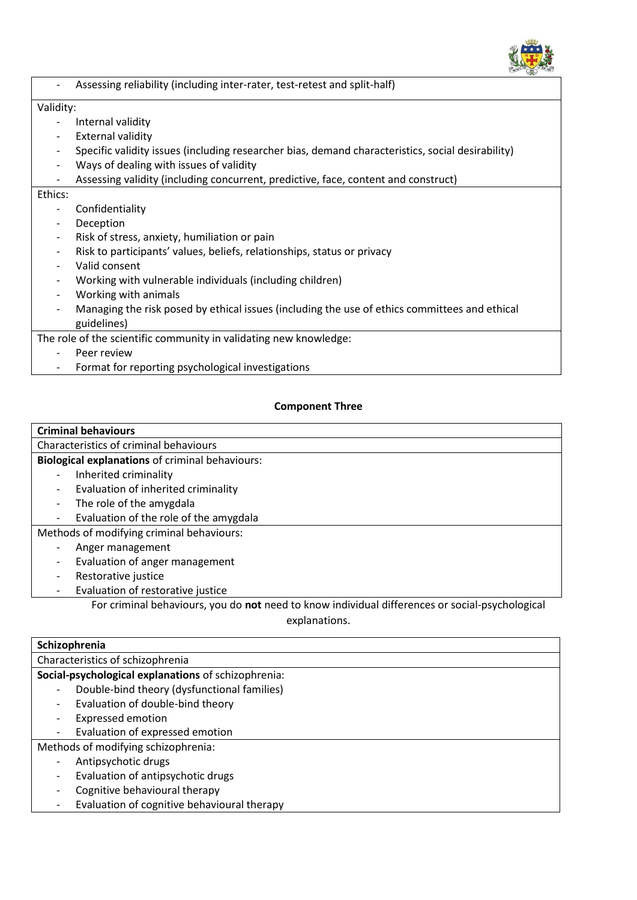

|                          | Assessing reliability (including inter-rater, test-retest and split-half)                         |  |  |  |  |  |
|--------------------------|---------------------------------------------------------------------------------------------------|--|--|--|--|--|
| Validity:                |                                                                                                   |  |  |  |  |  |
|                          | Internal validity                                                                                 |  |  |  |  |  |
| $\overline{\phantom{a}}$ | <b>External validity</b>                                                                          |  |  |  |  |  |
| -                        | Specific validity issues (including researcher bias, demand characteristics, social desirability) |  |  |  |  |  |
| $\overline{\phantom{a}}$ | Ways of dealing with issues of validity                                                           |  |  |  |  |  |
| $\overline{\phantom{a}}$ | Assessing validity (including concurrent, predictive, face, content and construct)                |  |  |  |  |  |
| Ethics:                  |                                                                                                   |  |  |  |  |  |
|                          | Confidentiality                                                                                   |  |  |  |  |  |
| -                        | Deception                                                                                         |  |  |  |  |  |
| $\overline{\phantom{a}}$ | Risk of stress, anxiety, humiliation or pain                                                      |  |  |  |  |  |
| -                        | Risk to participants' values, beliefs, relationships, status or privacy                           |  |  |  |  |  |
|                          | Valid consent                                                                                     |  |  |  |  |  |
|                          | Working with vulnerable individuals (including children)                                          |  |  |  |  |  |
| $\overline{\phantom{a}}$ | Working with animals                                                                              |  |  |  |  |  |
| $\overline{\phantom{a}}$ | Managing the risk posed by ethical issues (including the use of ethics committees and ethical     |  |  |  |  |  |
|                          | guidelines)                                                                                       |  |  |  |  |  |
|                          | The role of the scientific community in validating new knowledge:                                 |  |  |  |  |  |
|                          | Peer review                                                                                       |  |  |  |  |  |
| $\overline{\phantom{a}}$ | Format for reporting psychological investigations                                                 |  |  |  |  |  |

## **Component Three**

## **Criminal behaviours** Characteristics of criminal behaviours **Biological explanations** of criminal behaviours: - Inherited criminality - Evaluation of inherited criminality - The role of the amygdala - Evaluation of the role of the amygdala Methods of modifying criminal behaviours:

- Anger management
- Evaluation of anger management
- Restorative justice
- Evaluation of restorative justice

For criminal behaviours, you do **not** need to know individual differences or social-psychological explanations.

| Schizophrenia                                       |  |  |  |
|-----------------------------------------------------|--|--|--|
| Characteristics of schizophrenia                    |  |  |  |
| Social-psychological explanations of schizophrenia: |  |  |  |
| Double-bind theory (dysfunctional families)         |  |  |  |
| Evaluation of double-bind theory                    |  |  |  |
| <b>Expressed emotion</b>                            |  |  |  |
| Evaluation of expressed emotion                     |  |  |  |
| Methods of modifying schizophrenia:                 |  |  |  |
| Antipsychotic drugs                                 |  |  |  |
| Evaluation of antipsychotic drugs                   |  |  |  |
| Cognitive behavioural therapy                       |  |  |  |
| Evaluation of cognitive behavioural therapy         |  |  |  |